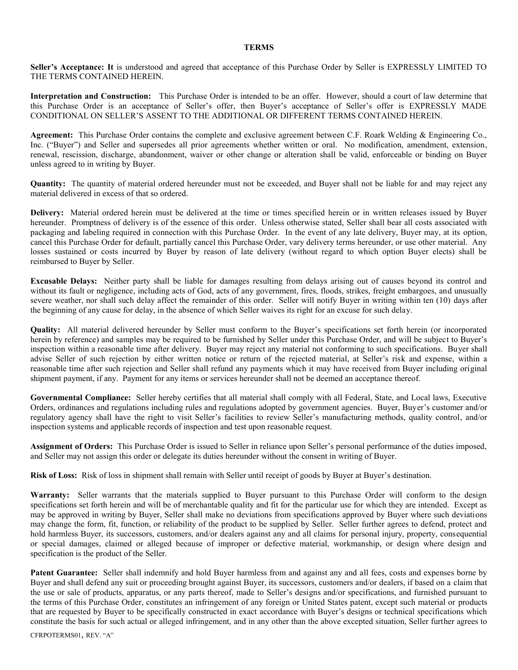## **TERMS**

**Seller's Acceptance: It** is understood and agreed that acceptance of this Purchase Order by Seller is EXPRESSLY LIMITED TO THE TERMS CONTAINED HEREIN.

**Interpretation and Construction:** This Purchase Order is intended to be an offer. However, should a court of law determine that this Purchase Order is an acceptance of Seller's offer, then Buyer's acceptance of Seller's offer is EXPRESSLY MADE CONDITIONAL ON SELLER'S ASSENT TO THE ADDITIONAL OR DIFFERENT TERMS CONTAINED HEREIN.

**Agreement:** This Purchase Order contains the complete and exclusive agreement between C.F. Roark Welding & Engineering Co., Inc. ("Buyer") and Seller and supersedes all prior agreements whether written or oral. No modification, amendment, extension, renewal, rescission, discharge, abandonment, waiver or other change or alteration shall be valid, enforceable or binding on Buyer unless agreed to in writing by Buyer.

**Quantity:** The quantity of material ordered hereunder must not be exceeded, and Buyer shall not be liable for and may reject any material delivered in excess of that so ordered.

**Delivery:** Material ordered herein must be delivered at the time or times specified herein or in written releases issued by Buyer hereunder. Promptness of delivery is of the essence of this order. Unless otherwise stated, Seller shall bear all costs associated with packaging and labeling required in connection with this Purchase Order. In the event of any late delivery, Buyer may, at its option, cancel this Purchase Order for default, partially cancel this Purchase Order, vary delivery terms hereunder, or use other material. Any losses sustained or costs incurred by Buyer by reason of late delivery (without regard to which option Buyer elects) shall be reimbursed to Buyer by Seller.

**Excusable Delays:** Neither party shall be liable for damages resulting from delays arising out of causes beyond its control and without its fault or negligence, including acts of God, acts of any government, fires, floods, strikes, freight embargoes, and unusually severe weather, nor shall such delay affect the remainder of this order. Seller will notify Buyer in writing within ten (10) days after the beginning of any cause for delay, in the absence of which Seller waives its right for an excuse for such delay.

**Quality:** All material delivered hereunder by Seller must conform to the Buyer's specifications set forth herein (or incorporated herein by reference) and samples may be required to be furnished by Seller under this Purchase Order, and will be subject to Buyer's inspection within a reasonable time after delivery. Buyer may reject any material not conforming to such specifications. Buyer shall advise Seller of such rejection by either written notice or return of the rejected material, at Seller's risk and expense, within a reasonable time after such rejection and Seller shall refund any payments which it may have received from Buyer including original shipment payment, if any. Payment for any items or services hereunder shall not be deemed an acceptance thereof.

**Governmental Compliance:** Seller hereby certifies that all material shall comply with all Federal, State, and Local laws, Executive Orders, ordinances and regulations including rules and regulations adopted by government agencies. Buyer, Buyer's customer and/or regulatory agency shall have the right to visit Seller's facilities to review Seller's manufacturing methods, quality control, and/or inspection systems and applicable records of inspection and test upon reasonable request.

**Assignment of Orders:** This Purchase Order is issued to Seller in reliance upon Seller's personal performance of the duties imposed, and Seller may not assign this order or delegate its duties hereunder without the consent in writing of Buyer.

**Risk of Loss:** Risk of loss in shipment shall remain with Seller until receipt of goods by Buyer at Buyer's destination.

**Warranty:** Seller warrants that the materials supplied to Buyer pursuant to this Purchase Order will conform to the design specifications set forth herein and will be of merchantable quality and fit for the particular use for which they are intended. Except as may be approved in writing by Buyer, Seller shall make no deviations from specifications approved by Buyer where such deviations may change the form, fit, function, or reliability of the product to be supplied by Seller. Seller further agrees to defend, protect and hold harmless Buyer, its successors, customers, and/or dealers against any and all claims for personal injury, property, consequential or special damages, claimed or alleged because of improper or defective material, workmanship, or design where design and specification is the product of the Seller.

**Patent Guarantee:** Seller shall indemnify and hold Buyer harmless from and against any and all fees, costs and expenses borne by Buyer and shall defend any suit or proceeding brought against Buyer, its successors, customers and/or dealers, if based on a claim that the use or sale of products, apparatus, or any parts thereof, made to Seller's designs and/or specifications, and furnished pursuant to the terms of this Purchase Order, constitutes an infringement of any foreign or United States patent, except such material or products that are requested by Buyer to be specifically constructed in exact accordance with Buyer's designs or technical specifications which constitute the basis for such actual or alleged infringement, and in any other than the above excepted situation, Seller further agrees to